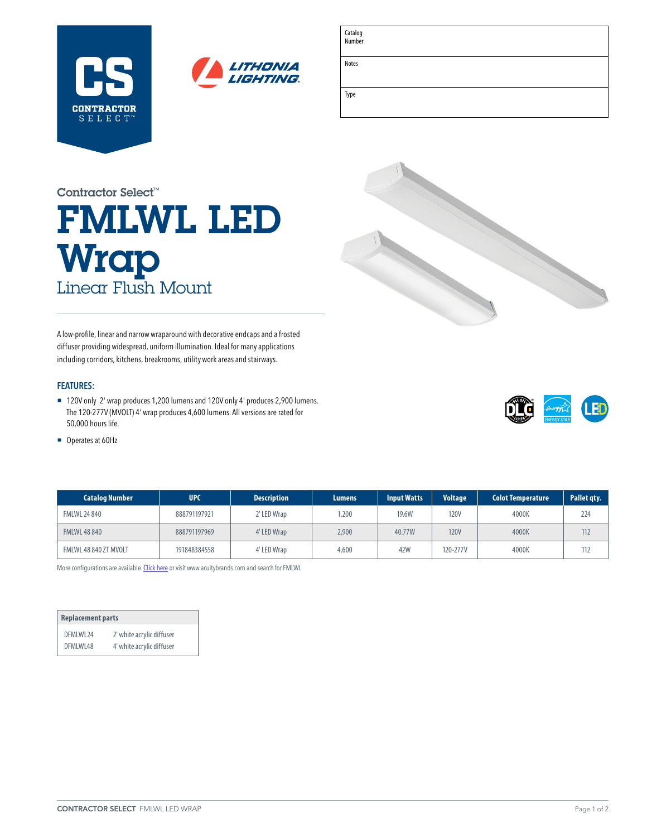



Catalog Number

Notes

Type

| <u> 1989 - Johann Harry Harry Harry Harry Harry Harry Harry Harry Harry Harry Harry Harry Harry Harry Harry Harry</u> |  |  |
|-----------------------------------------------------------------------------------------------------------------------|--|--|
|                                                                                                                       |  |  |
|                                                                                                                       |  |  |
|                                                                                                                       |  |  |
|                                                                                                                       |  |  |

# FMLWL LED **Wrap** Linear Flush Mount Contractor Select™

A low-profile, linear and narrow wraparound with decorative endcaps and a frosted diffuser providing widespread, uniform illumination. Ideal for many applications including corridors, kitchens, breakrooms, utility work areas and stairways.

### **FEATURES:**

■ 120V only 2' wrap produces 1,200 lumens and 120V only 4' produces 2,900 lumens. The 120-277V (MVOLT) 4' wrap produces 4,600 lumens. All versions are rated for 50,000 hours life.

LED

■ Operates at 60Hz

| <b>Catalog Number</b> | <b>UPC</b>   | <b>Description</b> | Lumens | <b>Input Watts</b> | <b>Voltage</b> | <b>Colot Temperature</b> | Pallet gty. |
|-----------------------|--------------|--------------------|--------|--------------------|----------------|--------------------------|-------------|
| <b>FMLWL 24 840</b>   | 888791197921 | 2' LED Wrap        | .200   | 19.6W              | <b>120V</b>    | 4000K                    | 224         |
| <b>FMLWL 48 840</b>   | 888791197969 | 4' LED Wrap        | 2,900  | 40.77W             | <b>120V</b>    | 4000K                    | 112         |
| FMLWL 48 840 ZT MVOLT | 191848384558 | 4' LED Wrap        | 4,600  | 42W                | 120-277V       | 4000K                    | 112         |

More configurations are available. [Click here](https://www.acuitybrands.com/products/detail/886484/Lithonia-Lighting/FMLWL-Wraparound/-/media/products/Lithonia_Lighting/886484/document/FMLWL_pdf.pdf) or visit [www.acuitybrands.com](http://www.acuitybrands.com) and search for FMLWL

| <b>Replacement parts</b> |                           |  |  |  |  |
|--------------------------|---------------------------|--|--|--|--|
| DFMIWI 24                | 2' white acrylic diffuser |  |  |  |  |
| DFMIWI48                 | 4' white acrylic diffuser |  |  |  |  |